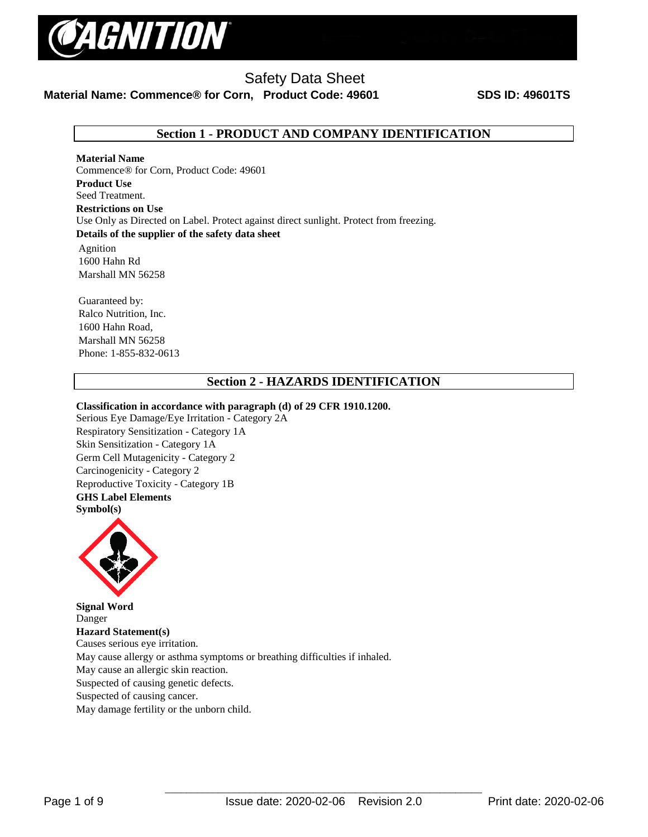

## **Material Name: Commence® for Corn, Product Code: 49601 SDS ID: 49601TS**

## **Section 1 - PRODUCT AND COMPANY IDENTIFICATION**

**Material Name**  Commence® for Corn, Product Code: 49601 **Product Use** Seed Treatment. **Restrictions on Use** Use Only as Directed on Label. Protect against direct sunlight. Protect from freezing. **Details of the supplier of the safety data sheet**

Agnition 1600 Hahn Rd Marshall MN 56258

Guaranteed by: Ralco Nutrition, Inc. 1600 Hahn Road, Marshall MN 56258 Phone: 1-855-832-0613

## **Section 2 - HAZARDS IDENTIFICATION**

### **Classification in accordance with paragraph (d) of 29 CFR 1910.1200.**

Serious Eye Damage/Eye Irritation - Category 2A Respiratory Sensitization - Category 1A Skin Sensitization - Category 1A Germ Cell Mutagenicity - Category 2 Carcinogenicity - Category 2 Reproductive Toxicity - Category 1B **GHS Label Elements Symbol(s)** 



**Signal Word**  Danger **Hazard Statement(s)**  Causes serious eye irritation. May cause allergy or asthma symptoms or breathing difficulties if inhaled. May cause an allergic skin reaction. Suspected of causing genetic defects. Suspected of causing cancer. May damage fertility or the unborn child.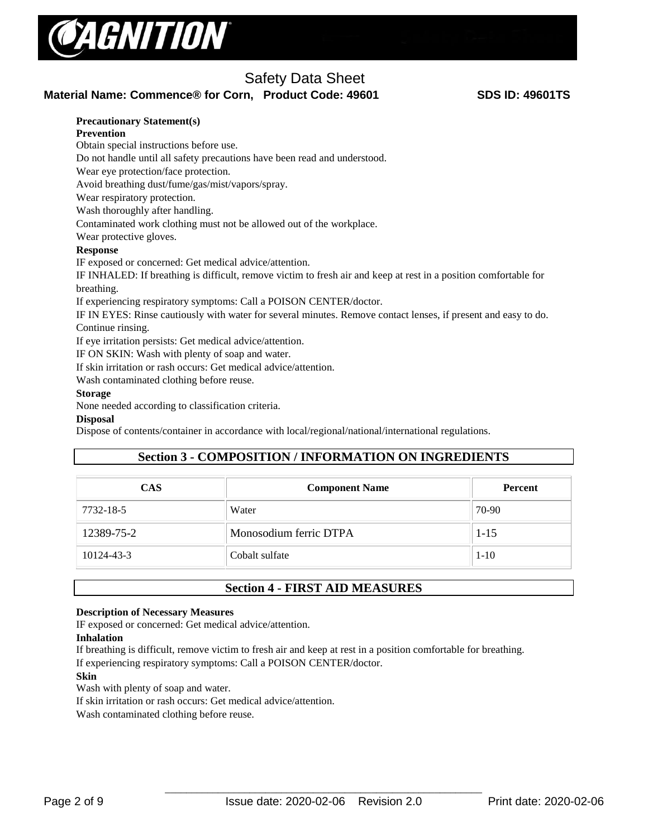

## **Material Name: Commence® for Corn, Product Code: 49601 SDS ID: 49601TS**

### **Precautionary Statement(s)**

### **Prevention**

Obtain special instructions before use.

Do not handle until all safety precautions have been read and understood.

Wear eye protection/face protection.

Avoid breathing dust/fume/gas/mist/vapors/spray.

Wear respiratory protection.

Wash thoroughly after handling.

Contaminated work clothing must not be allowed out of the workplace.

Wear protective gloves.

### **Response**

IF exposed or concerned: Get medical advice/attention.

IF INHALED: If breathing is difficult, remove victim to fresh air and keep at rest in a position comfortable for breathing.

If experiencing respiratory symptoms: Call a POISON CENTER/doctor.

IF IN EYES: Rinse cautiously with water for several minutes. Remove contact lenses, if present and easy to do. Continue rinsing.

If eye irritation persists: Get medical advice/attention.

IF ON SKIN: Wash with plenty of soap and water.

If skin irritation or rash occurs: Get medical advice/attention.

Wash contaminated clothing before reuse.

### **Storage**

None needed according to classification criteria.

### **Disposal**

Dispose of contents/container in accordance with local/regional/national/international regulations.

## **Section 3 - COMPOSITION / INFORMATION ON INGREDIENTS**

| <b>CAS</b> | <b>Component Name</b>  | <b>Percent</b> |  |
|------------|------------------------|----------------|--|
| 7732-18-5  | Water                  | 70-90          |  |
| 12389-75-2 | Monosodium ferric DTPA | $1-15$         |  |
| 10124-43-3 | Cobalt sulfate         | $1 - 10$       |  |

### **Section 4 - FIRST AID MEASURES**

### **Description of Necessary Measures**

IF exposed or concerned: Get medical advice/attention.

### **Inhalation**

If breathing is difficult, remove victim to fresh air and keep at rest in a position comfortable for breathing. If experiencing respiratory symptoms: Call a POISON CENTER/doctor.

### **Skin**

Wash with plenty of soap and water.

If skin irritation or rash occurs: Get medical advice/attention.

Wash contaminated clothing before reuse.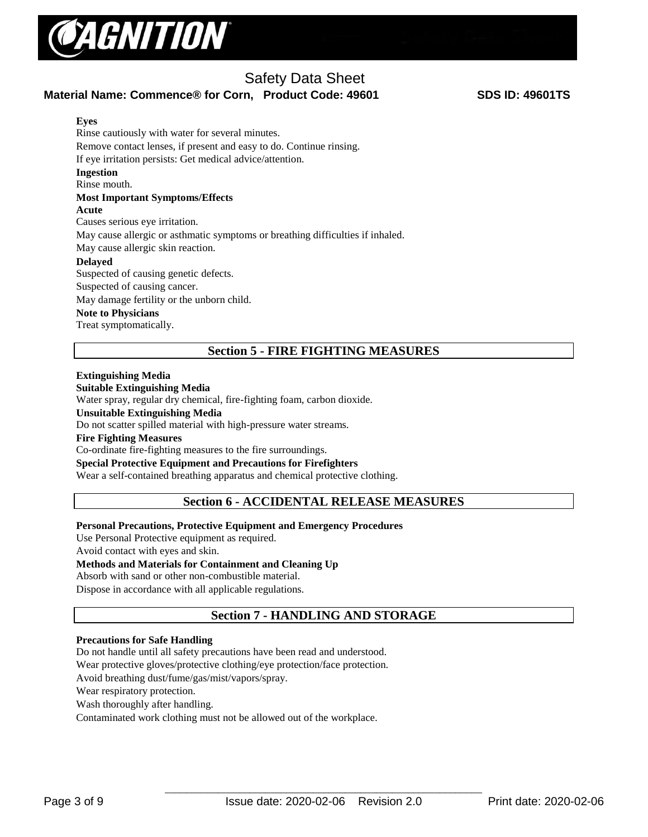

## **Material Name: Commence® for Corn, Product Code: 49601 SDS ID: 49601TS**

### **Eyes**

Rinse cautiously with water for several minutes. Remove contact lenses, if present and easy to do. Continue rinsing. If eye irritation persists: Get medical advice/attention. **Ingestion** Rinse mouth. **Most Important Symptoms/Effects Acute**  Causes serious eye irritation. May cause allergic or asthmatic symptoms or breathing difficulties if inhaled. May cause allergic skin reaction. **Delayed** Suspected of causing genetic defects. Suspected of causing cancer. May damage fertility or the unborn child. **Note to Physicians**  Treat symptomatically.

## **Section 5 - FIRE FIGHTING MEASURES**

### **Extinguishing Media**

### **Suitable Extinguishing Media**

Water spray, regular dry chemical, fire-fighting foam, carbon dioxide.

### **Unsuitable Extinguishing Media**

Do not scatter spilled material with high-pressure water streams.

### **Fire Fighting Measures**

Co-ordinate fire-fighting measures to the fire surroundings.

### **Special Protective Equipment and Precautions for Firefighters**

Wear a self-contained breathing apparatus and chemical protective clothing.

### **Section 6 - ACCIDENTAL RELEASE MEASURES**

### **Personal Precautions, Protective Equipment and Emergency Procedures**

Use Personal Protective equipment as required.

Avoid contact with eyes and skin.

### **Methods and Materials for Containment and Cleaning Up**

Absorb with sand or other non-combustible material.

Dispose in accordance with all applicable regulations.

## **Section 7 - HANDLING AND STORAGE**

### **Precautions for Safe Handling**

Do not handle until all safety precautions have been read and understood.

Wear protective gloves/protective clothing/eye protection/face protection.

Avoid breathing dust/fume/gas/mist/vapors/spray.

Wear respiratory protection.

Wash thoroughly after handling.

Contaminated work clothing must not be allowed out of the workplace.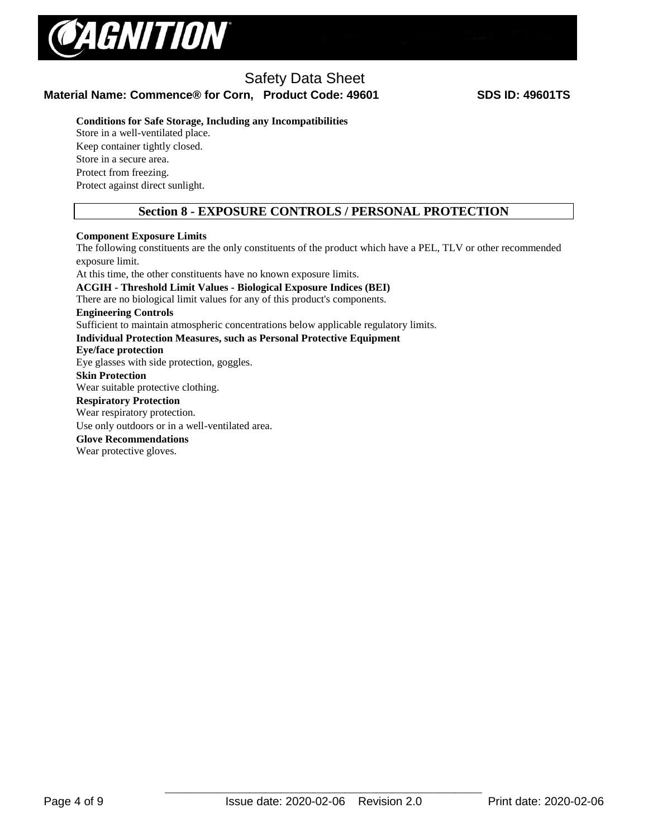

## Safety Data Sheet **Material Name: Commence® for Corn, Product Code: 49601 SDS ID: 49601TS**

**Conditions for Safe Storage, Including any Incompatibilities** 

Store in a well-ventilated place. Keep container tightly closed. Store in a secure area. Protect from freezing. Protect against direct sunlight.

## **Section 8 - EXPOSURE CONTROLS / PERSONAL PROTECTION**

### **Component Exposure Limits**

The following constituents are the only constituents of the product which have a PEL, TLV or other recommended exposure limit. At this time, the other constituents have no known exposure limits. **ACGIH - Threshold Limit Values - Biological Exposure Indices (BEI)**  There are no biological limit values for any of this product's components. **Engineering Controls** Sufficient to maintain atmospheric concentrations below applicable regulatory limits. **Individual Protection Measures, such as Personal Protective Equipment Eye/face protection**  Eye glasses with side protection, goggles. **Skin Protection**  Wear suitable protective clothing. **Respiratory Protection** Wear respiratory protection. Use only outdoors or in a well-ventilated area. **Glove Recommendations**

Wear protective gloves.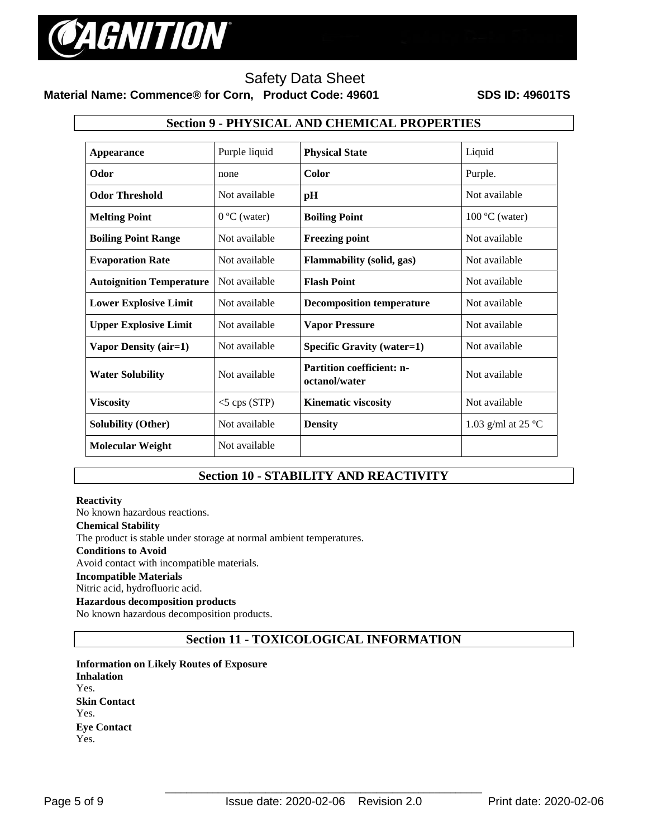

## Safety Data Sheet **Material Name: Commence® for Corn, Product Code: 49601 SDS ID: 49601TS**

# **Section 9 - PHYSICAL AND CHEMICAL PROPERTIES Appearance** Purple liquid **Physical State** Liquid **Odor none Color Purple. Odor Threshold** Not available **pH** Not available **Melting Point** 0 ºC (water) **Boiling Point** 100 ºC (water) **Boiling Point Range 19. Not available 1 Freezing point 1.1 Not available 1.1 Not available 1.1 Not available 1.1 Not available 1.1 Not available 1.1 Not available 1.1 Not available 1.1 Not available 1.1 Not available 1.1 Evaporation Rate Not available Flammability (solid, gas)** Not available **Autoignition Temperature** | Not available | **Flash Point** | Not available | Not available **Lower Explosive Limit** | Not available | **Decomposition temperature** | Not available **Upper Explosive Limit Not available Vapor Pressure Not available Not available Vapor Density (air=1) Not available <b>Specific Gravity (water=1) Not available Not** available **Water Solubility** Not available **Partition coefficient: noctanol/water 1997** Not available **Viscosity**  $\begin{array}{c|c} \hline \text{N} & \text{S} \\ \hline \text{S} & \text{S} \\ \hline \end{array}$  **Kinematic viscosity Not** available **Solubility (Other)** Not available **Density** 1.03 g/ml at 25 ºC **Molecular Weight** Not available

## **Section 10 - STABILITY AND REACTIVITY**

### **Reactivity**

No known hazardous reactions. **Chemical Stability** The product is stable under storage at normal ambient temperatures. **Conditions to Avoid** Avoid contact with incompatible materials. **Incompatible Materials** Nitric acid, hydrofluoric acid. **Hazardous decomposition products**  No known hazardous decomposition products.

## **Section 11 - TOXICOLOGICAL INFORMATION**

**Information on Likely Routes of Exposure Inhalation**  Yes. **Skin Contact**  Yes. **Eye Contact**  Yes.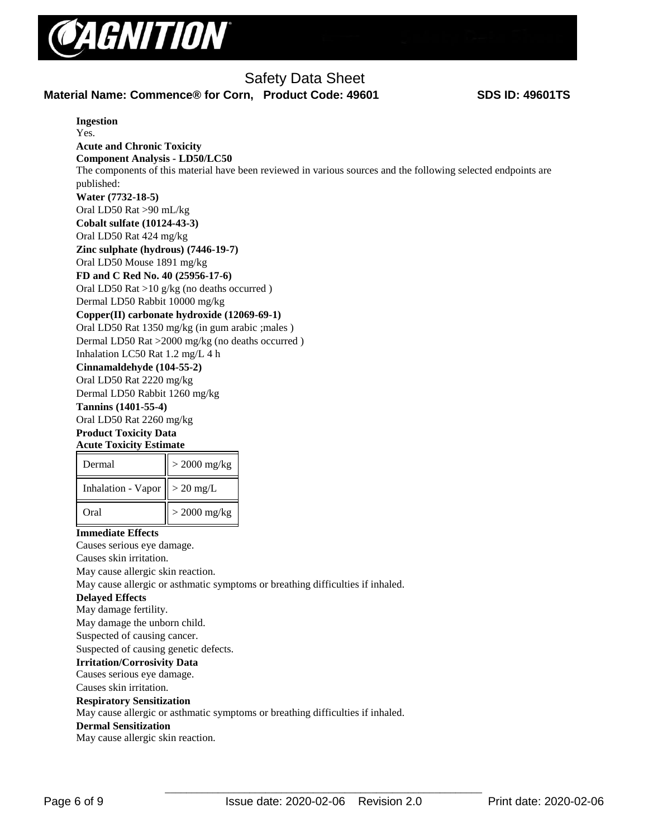

**Ingestion**  Yes.

# Safety Data Sheet

## **Material Name: Commence® for Corn, Product Code: 49601 SDS ID: 49601TS**

| <b>Acute and Chronic Toxicity</b><br><b>Component Analysis - LD50/LC50</b> |                                                                                                                |
|----------------------------------------------------------------------------|----------------------------------------------------------------------------------------------------------------|
|                                                                            | The components of this material have been reviewed in various sources and the following selected endpoints are |
| published:                                                                 |                                                                                                                |
| Water (7732-18-5)                                                          |                                                                                                                |
| Oral LD50 Rat >90 mL/kg                                                    |                                                                                                                |
| <b>Cobalt sulfate (10124-43-3)</b>                                         |                                                                                                                |
| Oral LD50 Rat 424 mg/kg                                                    |                                                                                                                |
| Zinc sulphate (hydrous) (7446-19-7)                                        |                                                                                                                |
| Oral LD50 Mouse 1891 mg/kg                                                 |                                                                                                                |
| FD and C Red No. 40 (25956-17-6)                                           |                                                                                                                |
|                                                                            | Oral LD50 Rat >10 $g/kg$ (no deaths occurred)                                                                  |
| Dermal LD50 Rabbit 10000 mg/kg                                             |                                                                                                                |
|                                                                            | Copper(II) carbonate hydroxide (12069-69-1)                                                                    |
|                                                                            | Oral LD50 Rat 1350 mg/kg (in gum arabic ; males)                                                               |
|                                                                            | Dermal LD50 Rat >2000 mg/kg (no deaths occurred)                                                               |
| Inhalation LC50 Rat 1.2 mg/L 4 h                                           |                                                                                                                |
| Cinnamaldehyde (104-55-2)                                                  |                                                                                                                |
| Oral LD50 Rat 2220 mg/kg                                                   |                                                                                                                |
| Dermal LD50 Rabbit 1260 mg/kg                                              |                                                                                                                |
| Tannins (1401-55-4)                                                        |                                                                                                                |
| Oral LD50 Rat 2260 mg/kg                                                   |                                                                                                                |
| <b>Product Toxicity Data</b>                                               |                                                                                                                |
| <b>Acute Toxicity Estimate</b>                                             |                                                                                                                |
| Dermal                                                                     | $>$ 2000 mg/kg                                                                                                 |
| <b>Inhalation - Vapor</b>                                                  | $> 20$ mg/L                                                                                                    |
| Oral                                                                       | $>$ 2000 mg/kg                                                                                                 |
| <b>Immediate Effects</b>                                                   |                                                                                                                |
| Causes serious eye damage.                                                 |                                                                                                                |
| Causes skin irritation.                                                    |                                                                                                                |
| May cause allergic skin reaction.                                          |                                                                                                                |
|                                                                            | May cause allergic or asthmatic symptoms or breathing difficulties if inhaled.                                 |
| <b>Delayed Effects</b>                                                     |                                                                                                                |
| May damage fertility.                                                      |                                                                                                                |
| May damage the unborn child.                                               |                                                                                                                |
| Suspected of causing cancer.                                               |                                                                                                                |
| Suspected of causing genetic defects.                                      |                                                                                                                |
| <b>Irritation/Corrosivity Data</b>                                         |                                                                                                                |
| Causes serious eye damage.                                                 |                                                                                                                |
| Causes skin irritation.                                                    |                                                                                                                |
| <b>Respiratory Sensitization</b>                                           |                                                                                                                |
|                                                                            | May cause allergic or asthmatic symptoms or breathing difficulties if inhaled.                                 |
| <b>Dermal Sensitization</b><br>May cause allergic skin reaction.           |                                                                                                                |
|                                                                            |                                                                                                                |
|                                                                            |                                                                                                                |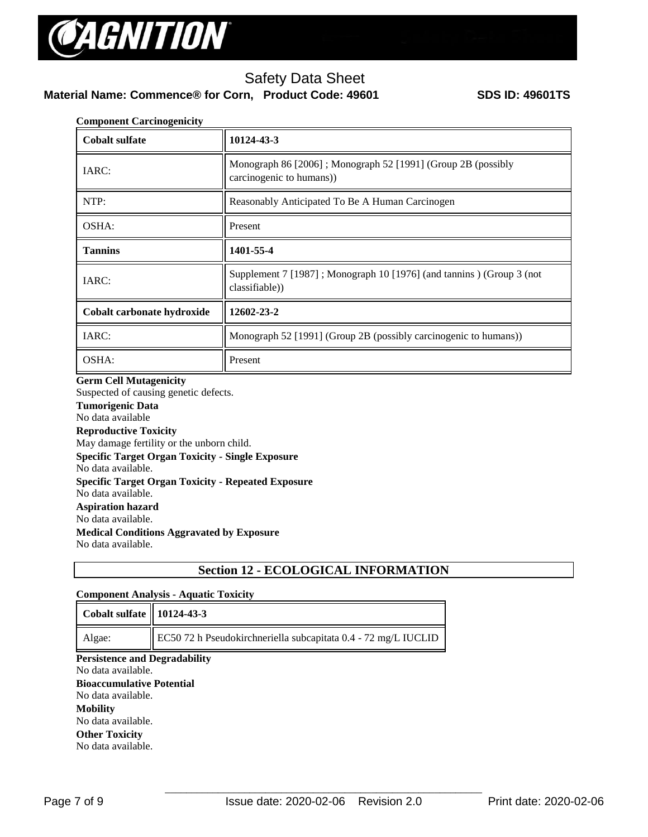

# **Material Name: Commence® for Corn, Product Code: 49601 SDS ID: 49601TS**

| <b>Component Carcinogenicity</b> |                                                                                          |  |
|----------------------------------|------------------------------------------------------------------------------------------|--|
| <b>Cobalt sulfate</b>            | 10124-43-3                                                                               |  |
| IARC:                            | Monograph 86 [2006]; Monograph 52 [1991] (Group 2B (possibly<br>carcinogenic to humans)) |  |
| NTP:                             | Reasonably Anticipated To Be A Human Carcinogen                                          |  |
| OSHA:                            | Present                                                                                  |  |
| <b>Tannins</b>                   | 1401-55-4                                                                                |  |
| IARC:                            | Supplement 7 [1987]; Monograph 10 [1976] (and tannins) (Group 3 (not<br>classifiable))   |  |
| Cobalt carbonate hydroxide       | 12602-23-2                                                                               |  |
| IARC:                            | Monograph 52 [1991] (Group 2B (possibly carcinogenic to humans))                         |  |
| OSHA:                            | Present                                                                                  |  |

### **Germ Cell Mutagenicity**

Suspected of causing genetic defects. **Tumorigenic Data**  No data available **Reproductive Toxicity**  May damage fertility or the unborn child. **Specific Target Organ Toxicity - Single Exposure**  No data available. **Specific Target Organ Toxicity - Repeated Exposure**  No data available. **Aspiration hazard**  No data available. **Medical Conditions Aggravated by Exposure** No data available.

## **Section 12 - ECOLOGICAL INFORMATION**

### **Component Analysis - Aquatic Toxicity**

| Cobalt sulfate    10124-43-3         |                                                                            |  |
|--------------------------------------|----------------------------------------------------------------------------|--|
| Algae:                               | $\parallel$ EC50 72 h Pseudokirchneriella subcapitata 0.4 - 72 mg/L IUCLID |  |
| <b>Persistence and Degradability</b> |                                                                            |  |

No data available.

### **Bioaccumulative Potential**

No data available. **Mobility**  No data available. **Other Toxicity** No data available.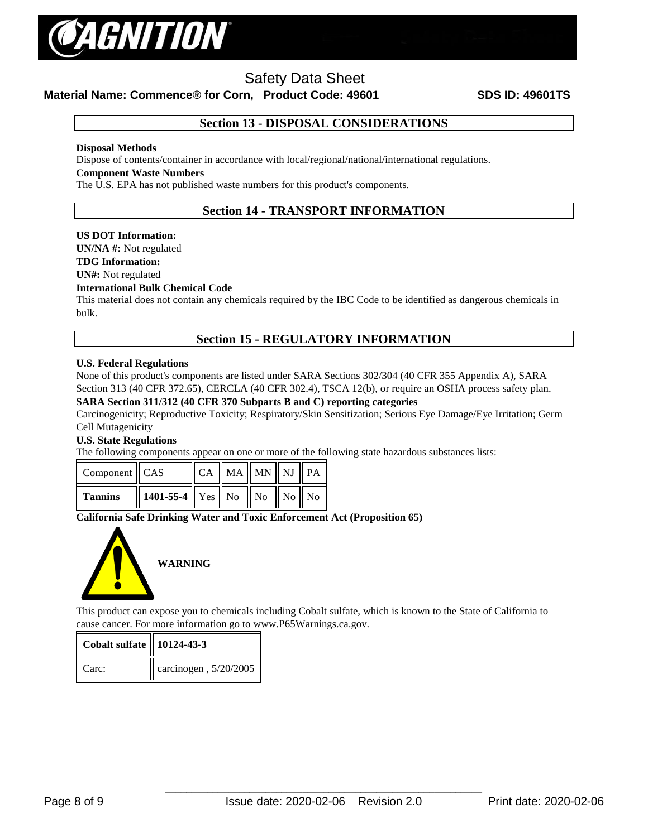

**Material Name: Commence® for Corn, Product Code: 49601 SDS ID: 49601TS**

## **Section 13 - DISPOSAL CONSIDERATIONS**

### **Disposal Methods**

Dispose of contents/container in accordance with local/regional/national/international regulations.

### **Component Waste Numbers**

The U.S. EPA has not published waste numbers for this product's components.

## **Section 14 - TRANSPORT INFORMATION**

### **US DOT Information:**

**UN/NA #:** Not regulated

### **TDG Information:**

**UN#:** Not regulated

### **International Bulk Chemical Code**

This material does not contain any chemicals required by the IBC Code to be identified as dangerous chemicals in bulk.

### **Section 15 - REGULATORY INFORMATION**

### **U.S. Federal Regulations**

None of this product's components are listed under SARA Sections 302/304 (40 CFR 355 Appendix A), SARA Section 313 (40 CFR 372.65), CERCLA (40 CFR 302.4), TSCA 12(b), or require an OSHA process safety plan.

### **SARA Section 311/312 (40 CFR 370 Subparts B and C) reporting categories**

Carcinogenicity; Reproductive Toxicity; Respiratory/Skin Sensitization; Serious Eye Damage/Eye Irritation; Germ Cell Mutagenicity

### **U.S. State Regulations**

The following components appear on one or more of the following state hazardous substances lists:

| Component CAS  |                                                         | $\ $ CA $\ $ MA $\ $ MN $\ $ NJ $\ $ PA |  |  |
|----------------|---------------------------------------------------------|-----------------------------------------|--|--|
| <b>Tannins</b> | $\ $ 1401-55-4 $\ $ Yes $\ $ No $\ $ No $\ $ No $\ $ No |                                         |  |  |

### **California Safe Drinking Water and Toxic Enforcement Act (Proposition 65)**



This product can expose you to chemicals including Cobalt sulfate, which is known to the State of California to cause cancer. For more information go to www.P65Warnings.ca.gov.

| <b>Cobalt sulfate   10124-43-3</b> |                               |
|------------------------------------|-------------------------------|
| $Carc$ :                           | $\vert$ carcinogen, 5/20/2005 |